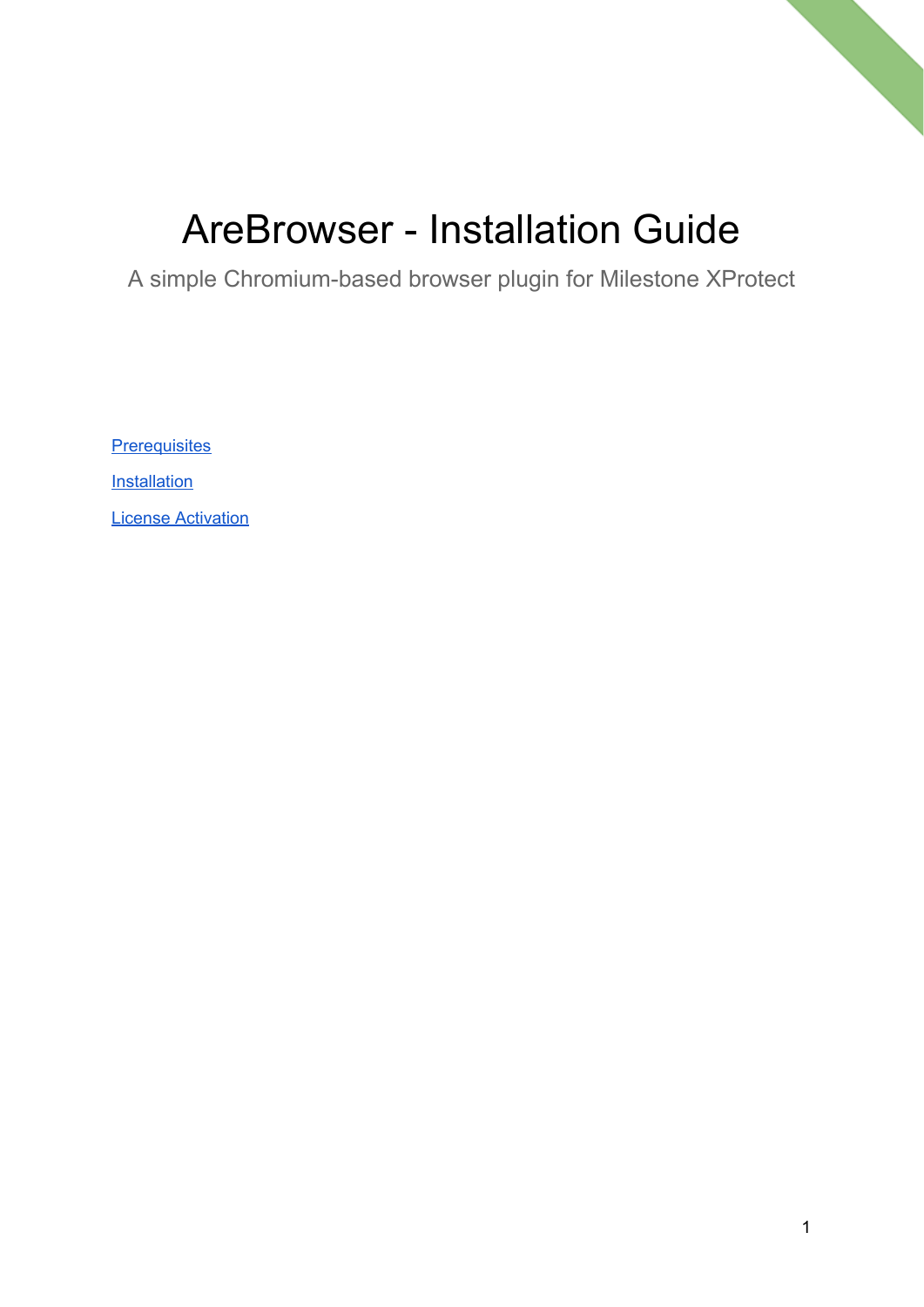## AreBrowser - Installation Guide

A simple Chromium-based browser plugin for Milestone XProtect

**[Prerequisites](#page-1-0)** 

**[Installation](#page-1-1)** 

License [Activation](#page-4-0)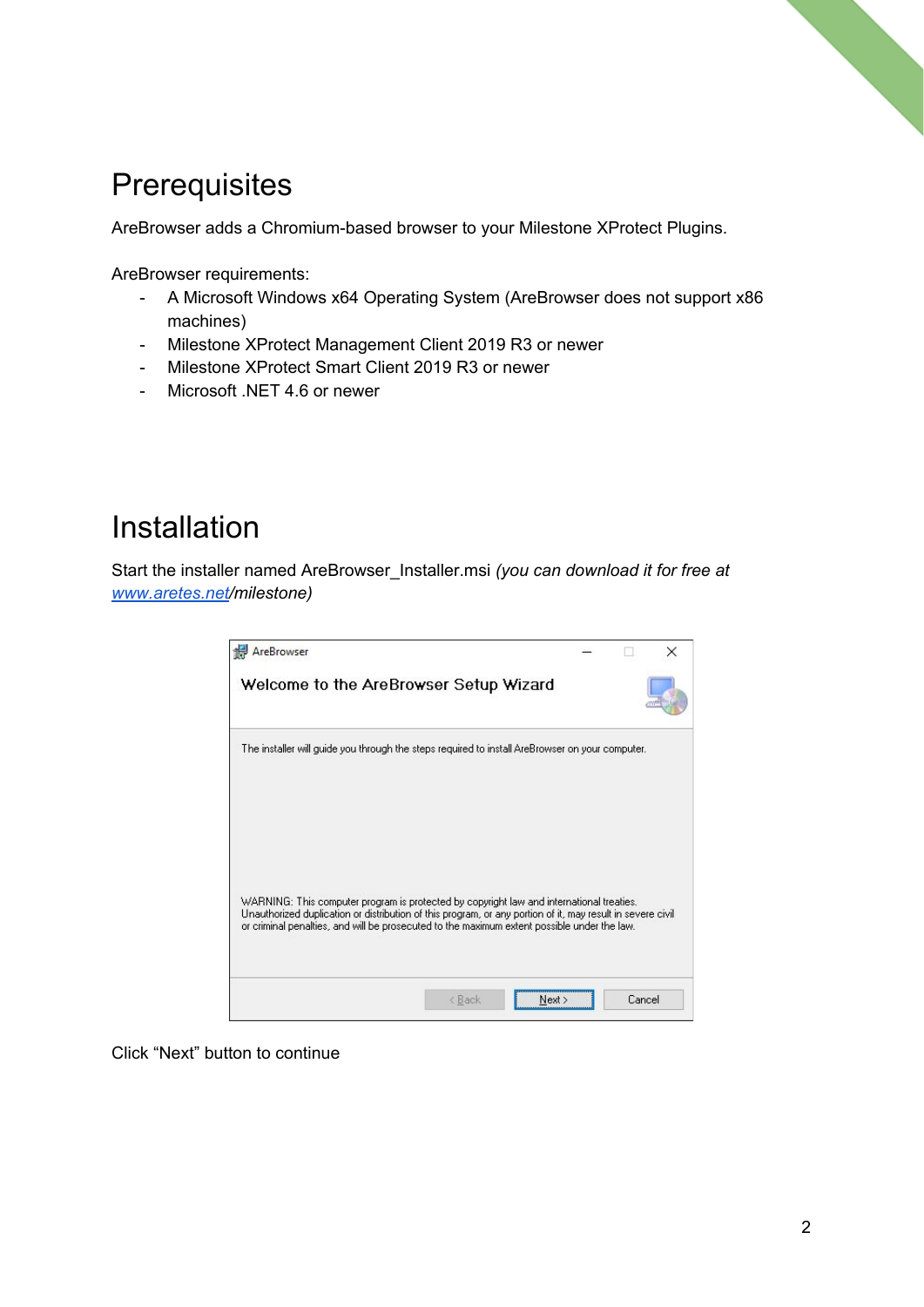## <span id="page-1-0"></span>**Prerequisites**

AreBrowser adds a Chromium-based browser to your Milestone XProtect Plugins.

AreBrowser requirements:

- A Microsoft Windows x64 Operating System (AreBrowser does not support x86 machines)
- Milestone XProtect Management Client 2019 R3 or newer
- Milestone XProtect Smart Client 2019 R3 or newer
- Microsoft .NET 4.6 or newer

## <span id="page-1-1"></span>Installation

Start the installer named AreBrowser\_Installer.msi *(you can download it for free at [www.aretes.net/](http://www.aretes.net/)milestone)*



Click "Next" button to continue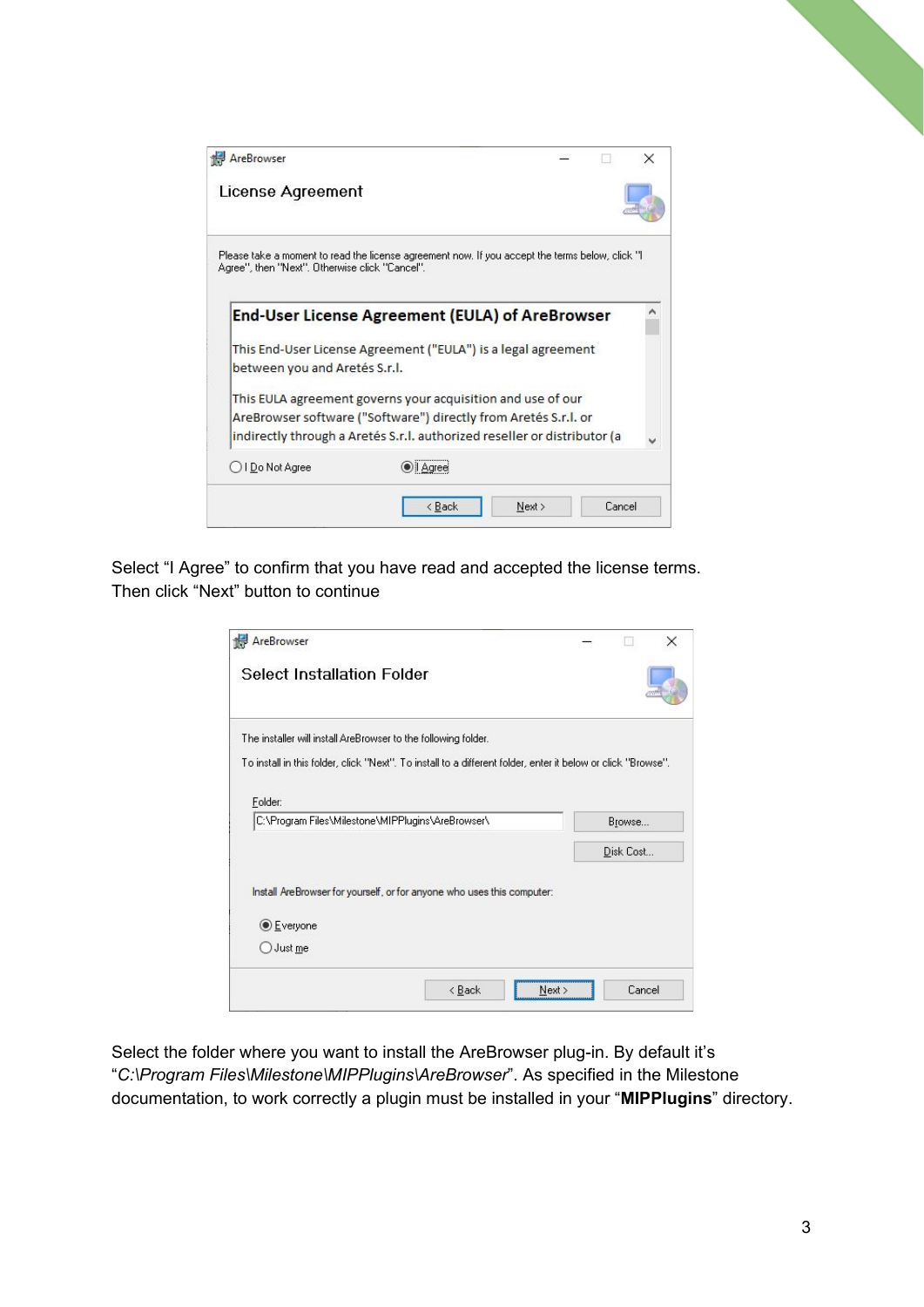| AreBrowser                                     |                                                                                                                                                                                                            |      |        | × |
|------------------------------------------------|------------------------------------------------------------------------------------------------------------------------------------------------------------------------------------------------------------|------|--------|---|
| License Agreement                              |                                                                                                                                                                                                            |      |        |   |
| Agree", then "Next". Otherwise click "Cancel". | Please take a moment to read the license agreement now. If you accept the terms below, click "I                                                                                                            |      |        |   |
|                                                | End-User License Agreement (EULA) of AreBrowser                                                                                                                                                            |      |        |   |
| between you and Aretés S.r.l.                  | This End-User License Agreement ("EULA") is a legal agreement                                                                                                                                              |      |        |   |
|                                                | This EULA agreement governs your acquisition and use of our<br>AreBrowser software ("Software") directly from Aretés S.r.I. or<br>indirectly through a Aretés S.r.I. authorized reseller or distributor (a |      |        |   |
| ○ I Do Not Agree                               |                                                                                                                                                                                                            |      |        |   |
|                                                | < Back                                                                                                                                                                                                     | Next | Cancel |   |

Select "I Agree" to confirm that you have read and accepted the license terms. Then click "Next" button to continue

| The installer will install AreBrowser to the following folder.                                               |           |
|--------------------------------------------------------------------------------------------------------------|-----------|
| To install in this folder, click "Next". To install to a different folder, enter it below or click "Browse". |           |
| Folder:                                                                                                      |           |
| C:\Program Files\Milestone\MIPPlugins\AreBrowser\                                                            | Browse    |
|                                                                                                              | Disk Cost |
|                                                                                                              |           |
|                                                                                                              |           |
| Install AreBrowser for yourself, or for anyone who uses this computer:                                       |           |
| <b>Everyone</b>                                                                                              |           |

Select the folder where you want to install the AreBrowser plug-in. By default it's "*C:\Program Files\Milestone\MIPPlugins\AreBrowser*". As specified in the Milestone documentation, to work correctly a plugin must be installed in your "**MIPPlugins**" directory.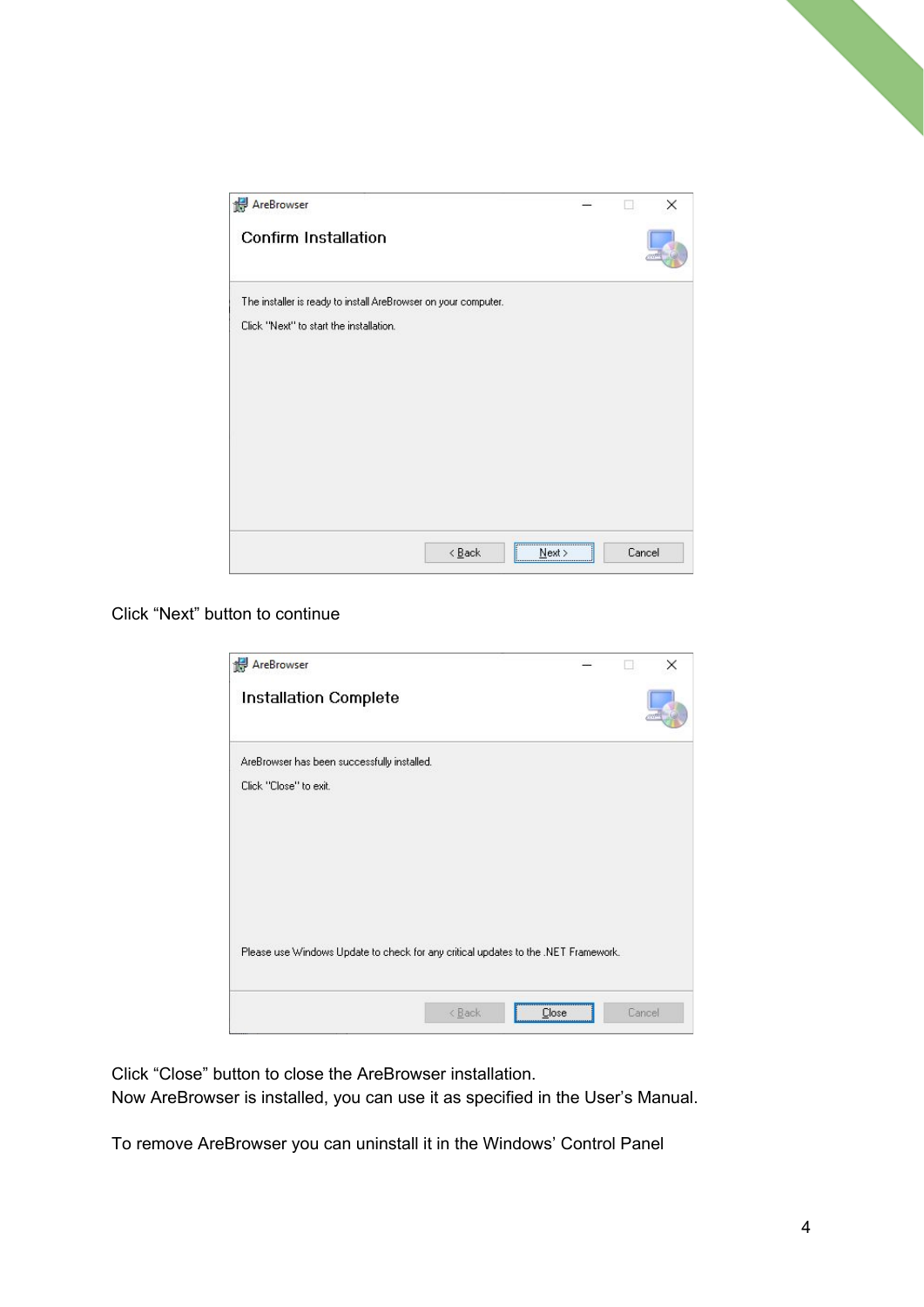

Click "Next" button to continue

| AreBrowser                                                                         |        |       |               | × |
|------------------------------------------------------------------------------------|--------|-------|---------------|---|
| <b>Installation Complete</b>                                                       |        |       |               |   |
| AreBrowser has been successfully installed.                                        |        |       |               |   |
| Click "Close" to exit.                                                             |        |       |               |   |
|                                                                                    |        |       |               |   |
|                                                                                    |        |       |               |   |
|                                                                                    |        |       |               |   |
|                                                                                    |        |       |               |   |
| Please use Windows Update to check for any critical updates to the .NET Framework. |        |       |               |   |
|                                                                                    |        |       |               |   |
|                                                                                    | < Back | Close | <b>Cancel</b> |   |

Click "Close" button to close the AreBrowser installation. Now AreBrowser is installed, you can use it as specified in the User's Manual.

To remove AreBrowser you can uninstall it in the Windows' Control Panel